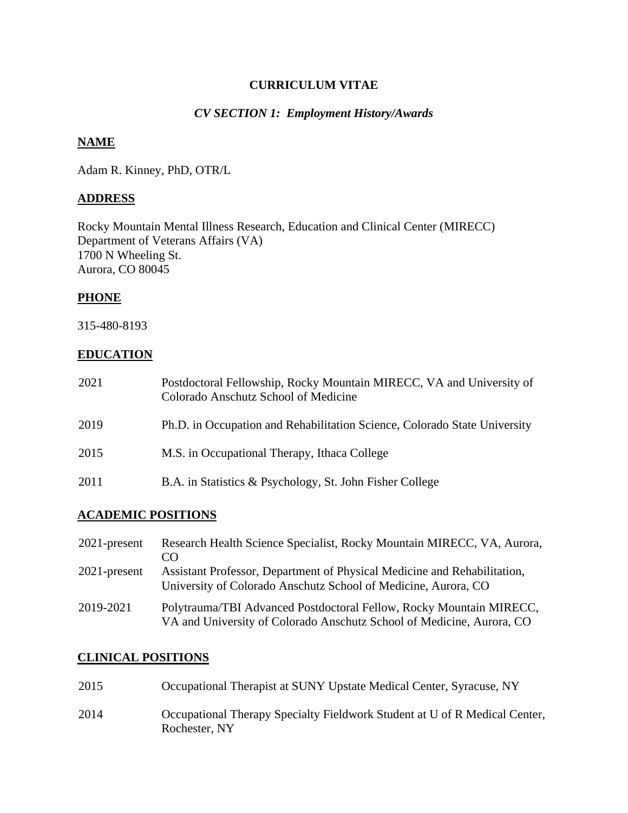### **CURRICULUM VITAE**

### *CV SECTION 1: Employment History/Awards*

#### **NAME**

Adam R. Kinney, PhD, OTR/L

## **ADDRESS**

Rocky Mountain Mental Illness Research, Education and Clinical Center (MIRECC) Department of Veterans Affairs (VA) 1700 N Wheeling St. Aurora, CO 80045

## **PHONE**

315-480-8193

### **EDUCATION**

| 2021 | Postdoctoral Fellowship, Rocky Mountain MIRECC, VA and University of<br>Colorado Anschutz School of Medicine |
|------|--------------------------------------------------------------------------------------------------------------|
| 2019 | Ph.D. in Occupation and Rehabilitation Science, Colorado State University                                    |
| 2015 | M.S. in Occupational Therapy, Ithaca College                                                                 |
| 2011 | B.A. in Statistics & Psychology, St. John Fisher College                                                     |

## **ACADEMIC POSITIONS**

| $2021$ -present | Research Health Science Specialist, Rocky Mountain MIRECC, VA, Aurora,<br>CO                                                                 |
|-----------------|----------------------------------------------------------------------------------------------------------------------------------------------|
| $2021$ -present | Assistant Professor, Department of Physical Medicine and Rehabilitation,<br>University of Colorado Anschutz School of Medicine, Aurora, CO   |
| 2019-2021       | Polytrauma/TBI Advanced Postdoctoral Fellow, Rocky Mountain MIRECC,<br>VA and University of Colorado Anschutz School of Medicine, Aurora, CO |

## **CLINICAL POSITIONS**

| 2015 | Occupational Therapist at SUNY Upstate Medical Center, Syracuse, NY                         |
|------|---------------------------------------------------------------------------------------------|
| 2014 | Occupational Therapy Specialty Fieldwork Student at U of R Medical Center,<br>Rochester, NY |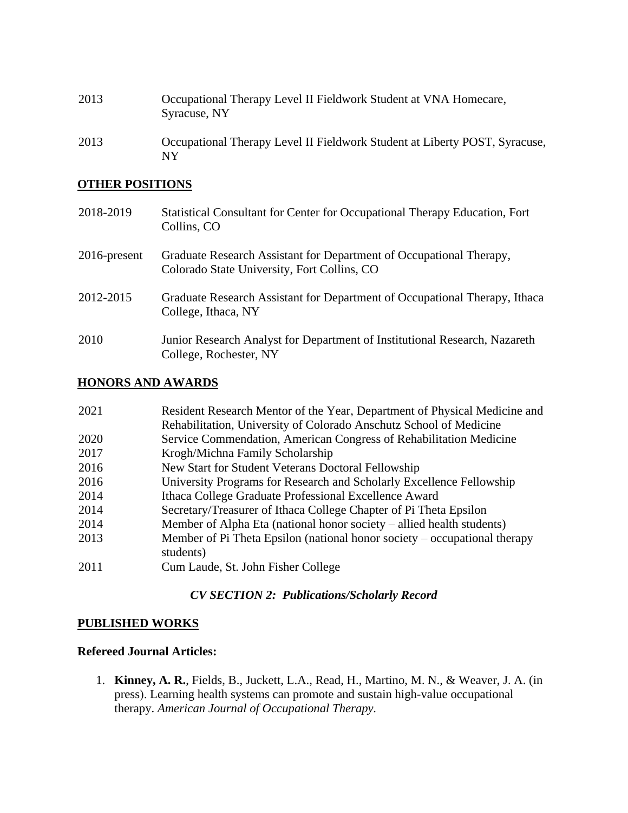| 2013 | Occupational Therapy Level II Fieldwork Student at VNA Homecare,<br>Syracuse, NY |
|------|----------------------------------------------------------------------------------|
| 2013 | Occupational Therapy Level II Fieldwork Student at Liberty POST, Syracuse,<br>NY |

#### **OTHER POSITIONS**

| 2018-2019       | Statistical Consultant for Center for Occupational Therapy Education, Fort<br>Collins, CO                          |
|-----------------|--------------------------------------------------------------------------------------------------------------------|
| $2016$ -present | Graduate Research Assistant for Department of Occupational Therapy,<br>Colorado State University, Fort Collins, CO |
| 2012-2015       | Graduate Research Assistant for Department of Occupational Therapy, Ithaca<br>College, Ithaca, NY                  |
| 2010            | Junior Research Analyst for Department of Institutional Research, Nazareth<br>College, Rochester, NY               |

## **HONORS AND AWARDS**

| 2021 | Resident Research Mentor of the Year, Department of Physical Medicine and |
|------|---------------------------------------------------------------------------|
|      | Rehabilitation, University of Colorado Anschutz School of Medicine        |
| 2020 | Service Commendation, American Congress of Rehabilitation Medicine        |
| 2017 | Krogh/Michna Family Scholarship                                           |
| 2016 | New Start for Student Veterans Doctoral Fellowship                        |
| 2016 | University Programs for Research and Scholarly Excellence Fellowship      |
| 2014 | Ithaca College Graduate Professional Excellence Award                     |
| 2014 | Secretary/Treasurer of Ithaca College Chapter of Pi Theta Epsilon         |
| 2014 | Member of Alpha Eta (national honor society – allied health students)     |
| 2013 | Member of Pi Theta Epsilon (national honor society – occupational therapy |
|      | students)                                                                 |
| 2011 | Cum Laude, St. John Fisher College                                        |
|      |                                                                           |

# *CV SECTION 2: Publications/Scholarly Record*

### **PUBLISHED WORKS**

## **Refereed Journal Articles:**

1. **Kinney, A. R.**, Fields, B., Juckett, L.A., Read, H., Martino, M. N., & Weaver, J. A. (in press). Learning health systems can promote and sustain high-value occupational therapy. *American Journal of Occupational Therapy.*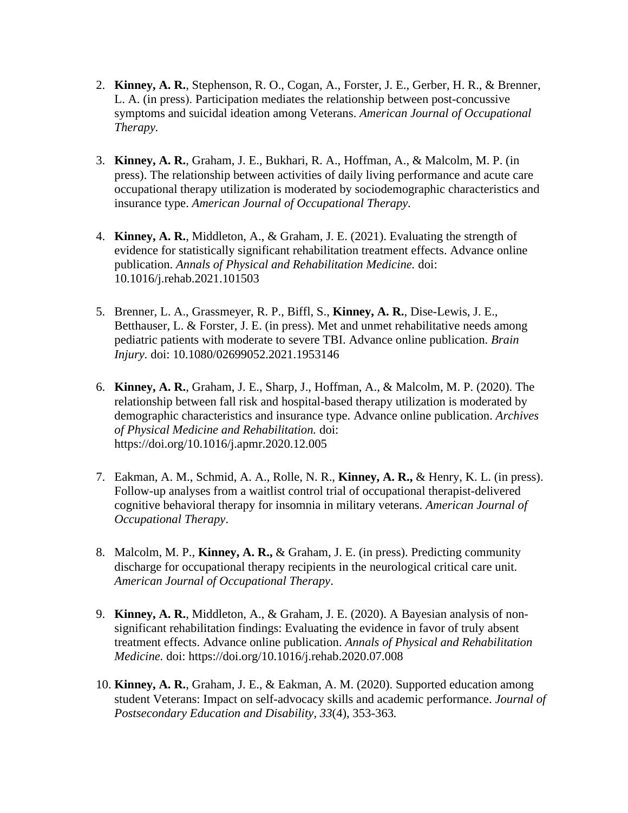- 2. **Kinney, A. R.**, Stephenson, R. O., Cogan, A., Forster, J. E., Gerber, H. R., & Brenner, L. A. (in press). Participation mediates the relationship between post-concussive symptoms and suicidal ideation among Veterans. *American Journal of Occupational Therapy.*
- 3. **Kinney, A. R.**, Graham, J. E., Bukhari, R. A., Hoffman, A., & Malcolm, M. P. (in press). The relationship between activities of daily living performance and acute care occupational therapy utilization is moderated by sociodemographic characteristics and insurance type. *American Journal of Occupational Therapy.*
- 4. **Kinney, A. R.**, Middleton, A., & Graham, J. E. (2021). Evaluating the strength of evidence for statistically significant rehabilitation treatment effects. Advance online publication. *Annals of Physical and Rehabilitation Medicine.* doi: 10.1016/j.rehab.2021.101503
- 5. Brenner, L. A., Grassmeyer, R. P., Biffl, S., **Kinney, A. R.**, Dise-Lewis, J. E., Betthauser, L. & Forster, J. E. (in press). Met and unmet rehabilitative needs among pediatric patients with moderate to severe TBI. Advance online publication. *Brain Injury.* doi: 10.1080/02699052.2021.1953146
- 6. **Kinney, A. R.**, Graham, J. E., Sharp, J., Hoffman, A., & Malcolm, M. P. (2020). The relationship between fall risk and hospital-based therapy utilization is moderated by demographic characteristics and insurance type. Advance online publication. *Archives of Physical Medicine and Rehabilitation.* doi: https://doi.org/10.1016/j.apmr.2020.12.005
- 7. Eakman, A. M., Schmid, A. A., Rolle, N. R., **Kinney, A. R.,** & Henry, K. L. (in press). Follow-up analyses from a waitlist control trial of occupational therapist-delivered cognitive behavioral therapy for insomnia in military veterans. *American Journal of Occupational Therapy*.
- 8. Malcolm, M. P., **Kinney, A. R.,** & Graham, J. E. (in press). Predicting community discharge for occupational therapy recipients in the neurological critical care unit. *American Journal of Occupational Therapy*.
- 9. **Kinney, A. R.**, Middleton, A., & Graham, J. E. (2020). A Bayesian analysis of nonsignificant rehabilitation findings: Evaluating the evidence in favor of truly absent treatment effects. Advance online publication. *Annals of Physical and Rehabilitation Medicine.* doi: https://doi.org/10.1016/j.rehab.2020.07.008
- 10. **Kinney, A. R.**, Graham, J. E., & Eakman, A. M. (2020). Supported education among student Veterans: Impact on self-advocacy skills and academic performance. *Journal of Postsecondary Education and Disability, 33*(4), 353-363*.*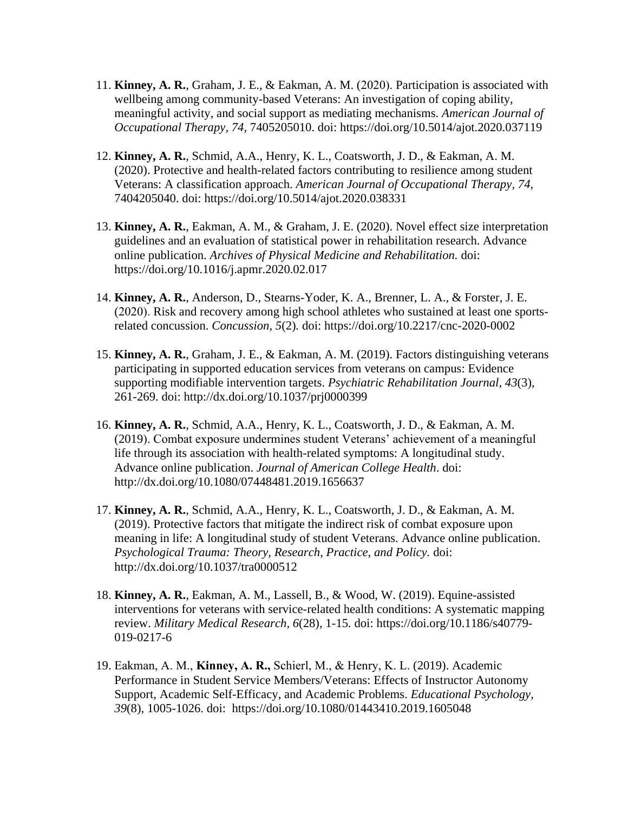- 11. **Kinney, A. R.**, Graham, J. E., & Eakman, A. M. (2020). Participation is associated with wellbeing among community-based Veterans: An investigation of coping ability, meaningful activity, and social support as mediating mechanisms. *American Journal of Occupational Therapy, 74,* 7405205010. doi: https://doi.org/10.5014/ajot.2020.037119
- 12. **Kinney, A. R.**, Schmid, A.A., Henry, K. L., Coatsworth, J. D., & Eakman, A. M. (2020). Protective and health-related factors contributing to resilience among student Veterans: A classification approach. *American Journal of Occupational Therapy, 74,* 7404205040. doi: https://doi.org/10.5014/ajot.2020.038331
- 13. **Kinney, A. R.**, Eakman, A. M., & Graham, J. E. (2020). Novel effect size interpretation guidelines and an evaluation of statistical power in rehabilitation research. Advance online publication. *Archives of Physical Medicine and Rehabilitation.* doi: https://doi.org/10.1016/j.apmr.2020.02.017
- 14. **Kinney, A. R.**, Anderson, D., Stearns-Yoder, K. A., Brenner, L. A., & Forster, J. E. (2020). Risk and recovery among high school athletes who sustained at least one sportsrelated concussion. *Concussion, 5*(2)*.* doi: https://doi.org/10.2217/cnc-2020-0002
- 15. **Kinney, A. R.**, Graham, J. E., & Eakman, A. M. (2019). Factors distinguishing veterans participating in supported education services from veterans on campus: Evidence supporting modifiable intervention targets. *Psychiatric Rehabilitation Journal, 43*(3), 261-269. doi: http://dx.doi.org/10.1037/prj0000399
- 16. **Kinney, A. R.**, Schmid, A.A., Henry, K. L., Coatsworth, J. D., & Eakman, A. M. (2019). Combat exposure undermines student Veterans' achievement of a meaningful life through its association with health-related symptoms: A longitudinal study. Advance online publication. *Journal of American College Health*. doi: http://dx.doi.org/10.1080/07448481.2019.1656637
- 17. **Kinney, A. R.**, Schmid, A.A., Henry, K. L., Coatsworth, J. D., & Eakman, A. M. (2019). Protective factors that mitigate the indirect risk of combat exposure upon meaning in life: A longitudinal study of student Veterans. Advance online publication. *Psychological Trauma: Theory, Research, Practice, and Policy.* doi: http://dx.doi.org/10.1037/tra0000512
- 18. **Kinney, A. R.**, Eakman, A. M., Lassell, B., & Wood, W. (2019). Equine-assisted interventions for veterans with service-related health conditions: A systematic mapping review. *Military Medical Research, 6*(28), 1-15*.* doi: https://doi.org/10.1186/s40779- 019-0217-6
- 19. Eakman, A. M., **Kinney, A. R.,** Schierl, M., & Henry, K. L. (2019). Academic Performance in Student Service Members/Veterans: Effects of Instructor Autonomy Support, Academic Self-Efficacy, and Academic Problems. *Educational Psychology, 39*(8), 1005-1026. doi: https://doi.org/10.1080/01443410.2019.1605048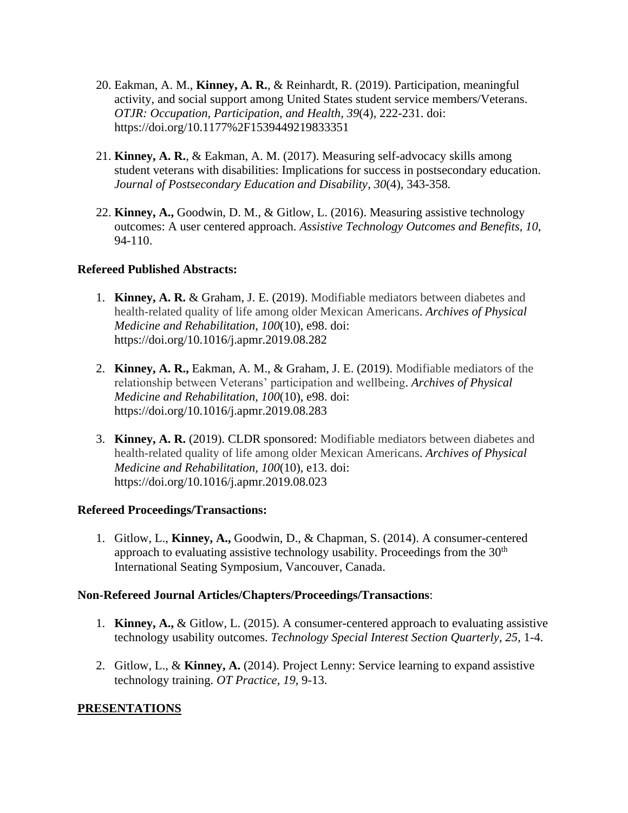- 20. Eakman, A. M., **Kinney, A. R.**, & Reinhardt, R. (2019). Participation, meaningful activity, and social support among United States student service members/Veterans. *OTJR: Occupation, Participation, and Health, 39*(4), 222-231. doi: https://doi.org/10.1177%2F1539449219833351
- 21. **Kinney, A. R.**, & Eakman, A. M. (2017). Measuring self-advocacy skills among student veterans with disabilities: Implications for success in postsecondary education. *Journal of Postsecondary Education and Disability, 30*(4), 343-358*.*
- 22. **Kinney, A.,** Goodwin, D. M., & Gitlow, L. (2016). Measuring assistive technology outcomes: A user centered approach. *Assistive Technology Outcomes and Benefits, 10*, 94-110.

#### **Refereed Published Abstracts:**

- 1. **Kinney, A. R.** & Graham, J. E. (2019). Modifiable mediators between diabetes and health-related quality of life among older Mexican Americans. *Archives of Physical Medicine and Rehabilitation, 100*(10), e98. doi: https://doi.org/10.1016/j.apmr.2019.08.282
- 2. **Kinney, A. R.,** Eakman, A. M., & Graham, J. E. (2019). Modifiable mediators of the relationship between Veterans' participation and wellbeing. *Archives of Physical Medicine and Rehabilitation, 100*(10), e98. doi: https://doi.org/10.1016/j.apmr.2019.08.283
- 3. **Kinney, A. R.** (2019). CLDR sponsored: Modifiable mediators between diabetes and health-related quality of life among older Mexican Americans. *Archives of Physical Medicine and Rehabilitation, 100*(10), e13. doi: https://doi.org/10.1016/j.apmr.2019.08.023

## **Refereed Proceedings/Transactions:**

1. Gitlow, L., **Kinney, A.,** Goodwin, D., & Chapman, S. (2014). A consumer-centered approach to evaluating assistive technology usability. Proceedings from the  $30<sup>th</sup>$ International Seating Symposium, Vancouver, Canada.

## **Non-Refereed Journal Articles/Chapters/Proceedings/Transactions**:

- 1. **Kinney, A.,** & Gitlow, L. (2015). A consumer-centered approach to evaluating assistive technology usability outcomes. *Technology Special Interest Section Quarterly, 25*, 1-4.
- 2. Gitlow, L., & **Kinney, A.** (2014). Project Lenny: Service learning to expand assistive technology training. *OT Practice, 19*, 9-13.

## **PRESENTATIONS**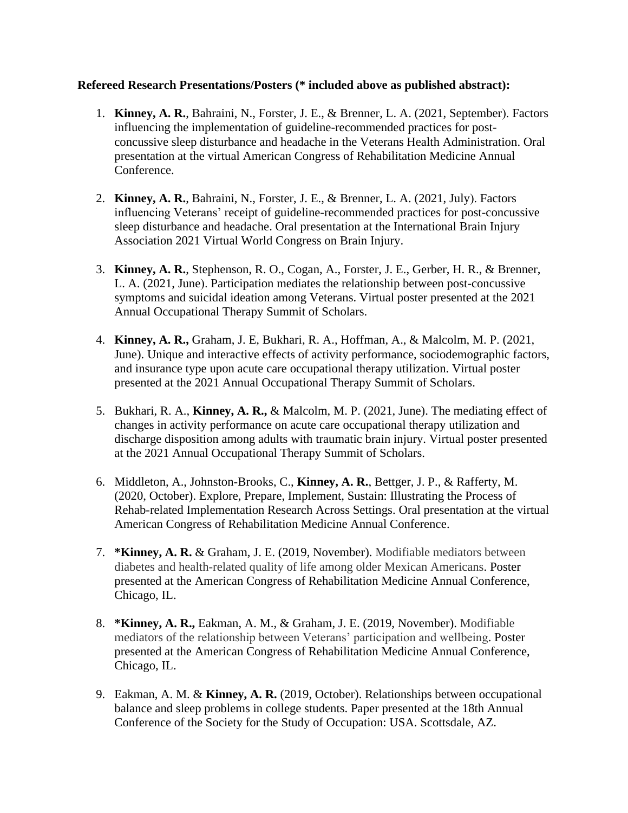#### **Refereed Research Presentations/Posters (\* included above as published abstract):**

- 1. **Kinney, A. R.**, Bahraini, N., Forster, J. E., & Brenner, L. A. (2021, September). Factors influencing the implementation of guideline-recommended practices for postconcussive sleep disturbance and headache in the Veterans Health Administration. Oral presentation at the virtual American Congress of Rehabilitation Medicine Annual Conference.
- 2. **Kinney, A. R.**, Bahraini, N., Forster, J. E., & Brenner, L. A. (2021, July). Factors influencing Veterans' receipt of guideline-recommended practices for post-concussive sleep disturbance and headache. Oral presentation at the International Brain Injury Association 2021 Virtual World Congress on Brain Injury.
- 3. **Kinney, A. R.**, Stephenson, R. O., Cogan, A., Forster, J. E., Gerber, H. R., & Brenner, L. A. (2021, June). Participation mediates the relationship between post-concussive symptoms and suicidal ideation among Veterans. Virtual poster presented at the 2021 Annual Occupational Therapy Summit of Scholars.
- 4. **Kinney, A. R.,** Graham, J. E, Bukhari, R. A., Hoffman, A., & Malcolm, M. P. (2021, June). Unique and interactive effects of activity performance, sociodemographic factors, and insurance type upon acute care occupational therapy utilization. Virtual poster presented at the 2021 Annual Occupational Therapy Summit of Scholars.
- 5. Bukhari, R. A., **Kinney, A. R.,** & Malcolm, M. P. (2021, June). The mediating effect of changes in activity performance on acute care occupational therapy utilization and discharge disposition among adults with traumatic brain injury. Virtual poster presented at the 2021 Annual Occupational Therapy Summit of Scholars.
- 6. Middleton, A., Johnston-Brooks, C., **Kinney, A. R.**, Bettger, J. P., & Rafferty, M. (2020, October). Explore, Prepare, Implement, Sustain: Illustrating the Process of Rehab-related Implementation Research Across Settings. Oral presentation at the virtual American Congress of Rehabilitation Medicine Annual Conference.
- 7. **\*Kinney, A. R.** & Graham, J. E. (2019, November). Modifiable mediators between diabetes and health-related quality of life among older Mexican Americans. Poster presented at the American Congress of Rehabilitation Medicine Annual Conference, Chicago, IL.
- 8. **\*Kinney, A. R.,** Eakman, A. M., & Graham, J. E. (2019, November). Modifiable mediators of the relationship between Veterans' participation and wellbeing. Poster presented at the American Congress of Rehabilitation Medicine Annual Conference, Chicago, IL.
- 9. Eakman, A. M. & **Kinney, A. R.** (2019, October). Relationships between occupational balance and sleep problems in college students. Paper presented at the 18th Annual Conference of the Society for the Study of Occupation: USA. Scottsdale, AZ.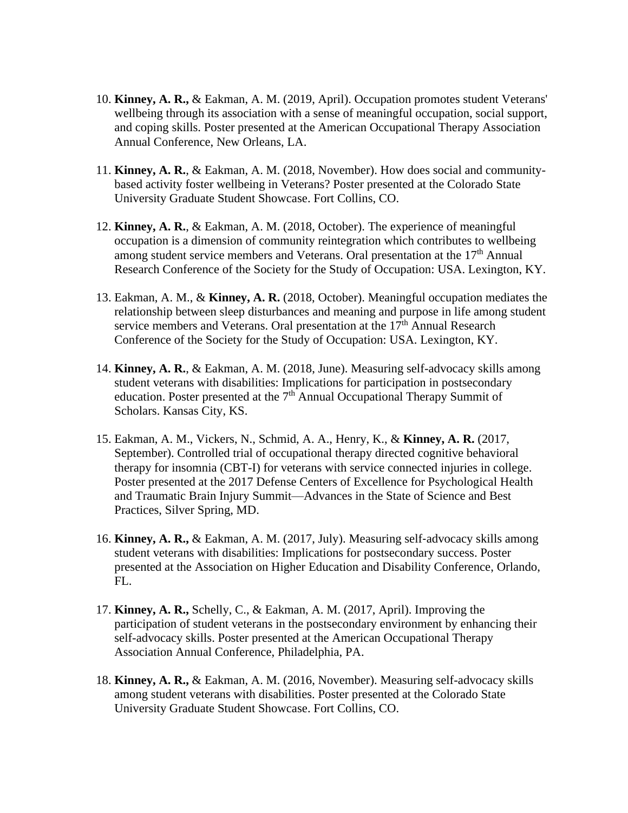- 10. **Kinney, A. R.,** & Eakman, A. M. (2019, April). Occupation promotes student Veterans' wellbeing through its association with a sense of meaningful occupation, social support, and coping skills. Poster presented at the American Occupational Therapy Association Annual Conference, New Orleans, LA.
- 11. **Kinney, A. R.**, & Eakman, A. M. (2018, November). How does social and communitybased activity foster wellbeing in Veterans? Poster presented at the Colorado State University Graduate Student Showcase. Fort Collins, CO.
- 12. **Kinney, A. R.**, & Eakman, A. M. (2018, October). The experience of meaningful occupation is a dimension of community reintegration which contributes to wellbeing among student service members and Veterans. Oral presentation at the 17<sup>th</sup> Annual Research Conference of the Society for the Study of Occupation: USA. Lexington, KY.
- 13. Eakman, A. M., & **Kinney, A. R.** (2018, October). Meaningful occupation mediates the relationship between sleep disturbances and meaning and purpose in life among student service members and Veterans. Oral presentation at the  $17<sup>th</sup>$  Annual Research Conference of the Society for the Study of Occupation: USA. Lexington, KY.
- 14. **Kinney, A. R.**, & Eakman, A. M. (2018, June). Measuring self-advocacy skills among student veterans with disabilities: Implications for participation in postsecondary education. Poster presented at the  $7<sup>th</sup>$  Annual Occupational Therapy Summit of Scholars. Kansas City, KS.
- 15. Eakman, A. M., Vickers, N., Schmid, A. A., Henry, K., & **Kinney, A. R.** (2017, September). Controlled trial of occupational therapy directed cognitive behavioral therapy for insomnia (CBT-I) for veterans with service connected injuries in college. Poster presented at the 2017 Defense Centers of Excellence for Psychological Health and Traumatic Brain Injury Summit—Advances in the State of Science and Best Practices, Silver Spring, MD.
- 16. **Kinney, A. R.,** & Eakman, A. M. (2017, July). Measuring self‐advocacy skills among student veterans with disabilities: Implications for postsecondary success. Poster presented at the Association on Higher Education and Disability Conference, Orlando, FL.
- 17. **Kinney, A. R.,** Schelly, C., & Eakman, A. M. (2017, April). Improving the participation of student veterans in the postsecondary environment by enhancing their self-advocacy skills. Poster presented at the American Occupational Therapy Association Annual Conference, Philadelphia, PA.
- 18. **Kinney, A. R.,** & Eakman, A. M. (2016, November). Measuring self-advocacy skills among student veterans with disabilities. Poster presented at the Colorado State University Graduate Student Showcase. Fort Collins, CO.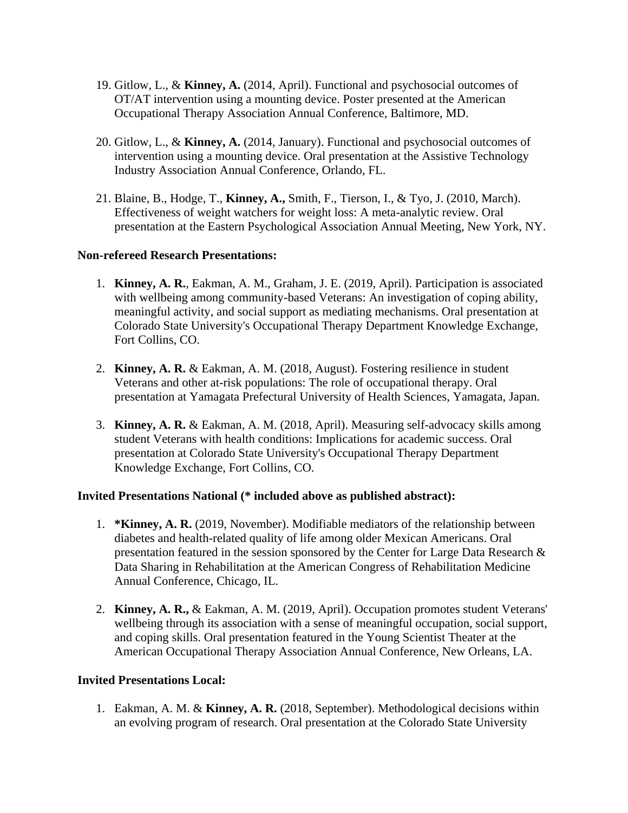- 19. Gitlow, L., & **Kinney, A.** (2014, April). Functional and psychosocial outcomes of OT/AT intervention using a mounting device. Poster presented at the American Occupational Therapy Association Annual Conference, Baltimore, MD.
- 20. Gitlow, L., & **Kinney, A.** (2014, January). Functional and psychosocial outcomes of intervention using a mounting device. Oral presentation at the Assistive Technology Industry Association Annual Conference, Orlando, FL.
- 21. Blaine, B., Hodge, T., **Kinney, A.,** Smith, F., Tierson, I., & Tyo, J. (2010, March). Effectiveness of weight watchers for weight loss: A meta-analytic review. Oral presentation at the Eastern Psychological Association Annual Meeting, New York, NY.

#### **Non-refereed Research Presentations:**

- 1. **Kinney, A. R.**, Eakman, A. M., Graham, J. E. (2019, April). Participation is associated with wellbeing among community-based Veterans: An investigation of coping ability, meaningful activity, and social support as mediating mechanisms. Oral presentation at Colorado State University's Occupational Therapy Department Knowledge Exchange, Fort Collins, CO.
- 2. **Kinney, A. R.** & Eakman, A. M. (2018, August). Fostering resilience in student Veterans and other at-risk populations: The role of occupational therapy. Oral presentation at Yamagata Prefectural University of Health Sciences, Yamagata, Japan.
- 3. **Kinney, A. R.** & Eakman, A. M. (2018, April). Measuring self-advocacy skills among student Veterans with health conditions: Implications for academic success. Oral presentation at Colorado State University's Occupational Therapy Department Knowledge Exchange, Fort Collins, CO.

#### **Invited Presentations National (\* included above as published abstract):**

- 1. **\*Kinney, A. R.** (2019, November). Modifiable mediators of the relationship between diabetes and health-related quality of life among older Mexican Americans. Oral presentation featured in the session sponsored by the Center for Large Data Research & Data Sharing in Rehabilitation at the American Congress of Rehabilitation Medicine Annual Conference, Chicago, IL.
- 2. **Kinney, A. R.,** & Eakman, A. M. (2019, April). Occupation promotes student Veterans' wellbeing through its association with a sense of meaningful occupation, social support, and coping skills. Oral presentation featured in the Young Scientist Theater at the American Occupational Therapy Association Annual Conference, New Orleans, LA.

## **Invited Presentations Local:**

1. Eakman, A. M. & **Kinney, A. R.** (2018, September). Methodological decisions within an evolving program of research. Oral presentation at the Colorado State University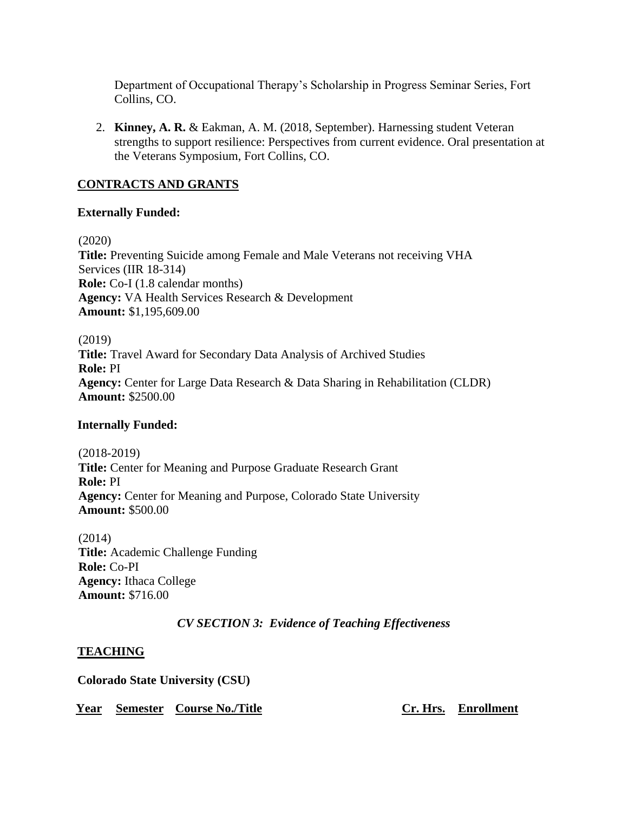Department of Occupational Therapy's Scholarship in Progress Seminar Series, Fort Collins, CO.

2. **Kinney, A. R.** & Eakman, A. M. (2018, September). Harnessing student Veteran strengths to support resilience: Perspectives from current evidence. Oral presentation at the Veterans Symposium, Fort Collins, CO.

### **CONTRACTS AND GRANTS**

#### **Externally Funded:**

(2020)

**Title:** Preventing Suicide among Female and Male Veterans not receiving VHA Services (IIR 18-314) **Role:** Co-I (1.8 calendar months) **Agency:** VA Health Services Research & Development **Amount:** \$1,195,609.00

(2019) **Title:** Travel Award for Secondary Data Analysis of Archived Studies **Role:** PI **Agency:** Center for Large Data Research & Data Sharing in Rehabilitation (CLDR) **Amount:** \$2500.00

#### **Internally Funded:**

(2018-2019) **Title:** Center for Meaning and Purpose Graduate Research Grant **Role:** PI **Agency:** Center for Meaning and Purpose, Colorado State University **Amount:** \$500.00

(2014) **Title:** Academic Challenge Funding **Role:** Co-PI **Agency:** Ithaca College **Amount:** \$716.00

## *CV SECTION 3: Evidence of Teaching Effectiveness*

## **TEACHING**

**Colorado State University (CSU)**

**Year Semester Course No./Title Cr. Hrs. Enrollment**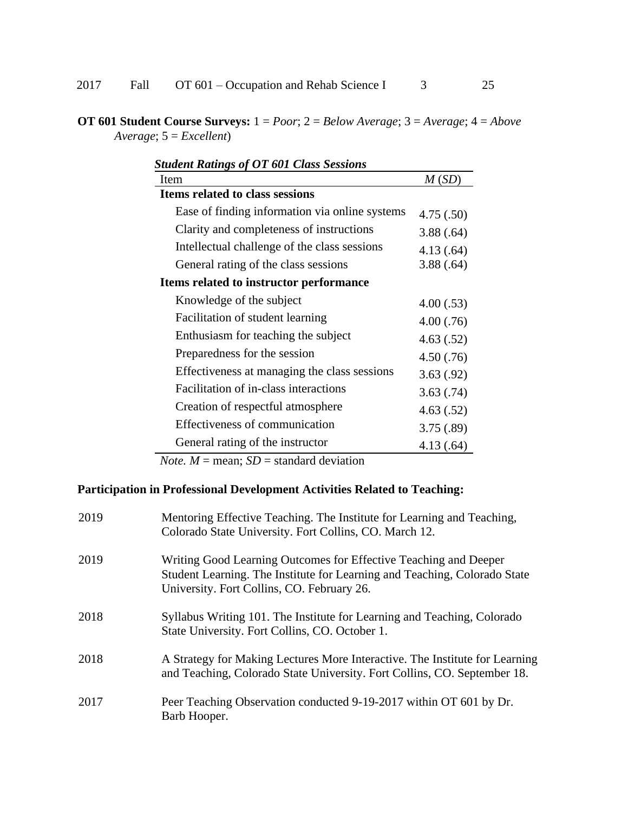**OT 601 Student Course Surveys:** 1 = *Poor*; 2 = *Below Average*; 3 = *Average*; 4 = *Above Average*; 5 = *Excellent*)

| <b>Student Ratings of OT 601 Class Sessions</b> |           |  |
|-------------------------------------------------|-----------|--|
| Item                                            | M(SD)     |  |
| <b>Items related to class sessions</b>          |           |  |
| Ease of finding information via online systems  | 4.75(.50) |  |
| Clarity and completeness of instructions        | 3.88(.64) |  |
| Intellectual challenge of the class sessions    | 4.13(.64) |  |
| General rating of the class sessions            | 3.88(.64) |  |
| Items related to instructor performance         |           |  |
| Knowledge of the subject                        | 4.00(.53) |  |
| Facilitation of student learning                | 4.00(.76) |  |
| Enthusiasm for teaching the subject             | 4.63(.52) |  |
| Preparedness for the session                    | 4.50(.76) |  |
| Effectiveness at managing the class sessions    | 3.63(.92) |  |
| Facilitation of in-class interactions           | 3.63(.74) |  |
| Creation of respectful atmosphere               | 4.63(.52) |  |
| Effectiveness of communication                  | 3.75(.89) |  |
| General rating of the instructor                | 4.13(.64) |  |

*Note.*  $M =$  mean;  $SD =$  standard deviation

# **Participation in Professional Development Activities Related to Teaching:**

| 2019 | Mentoring Effective Teaching. The Institute for Learning and Teaching,<br>Colorado State University. Fort Collins, CO. March 12.                                                            |
|------|---------------------------------------------------------------------------------------------------------------------------------------------------------------------------------------------|
| 2019 | Writing Good Learning Outcomes for Effective Teaching and Deeper<br>Student Learning. The Institute for Learning and Teaching, Colorado State<br>University. Fort Collins, CO. February 26. |
| 2018 | Syllabus Writing 101. The Institute for Learning and Teaching, Colorado<br>State University. Fort Collins, CO. October 1.                                                                   |
| 2018 | A Strategy for Making Lectures More Interactive. The Institute for Learning<br>and Teaching, Colorado State University. Fort Collins, CO. September 18.                                     |
| 2017 | Peer Teaching Observation conducted 9-19-2017 within OT 601 by Dr.<br>Barb Hooper.                                                                                                          |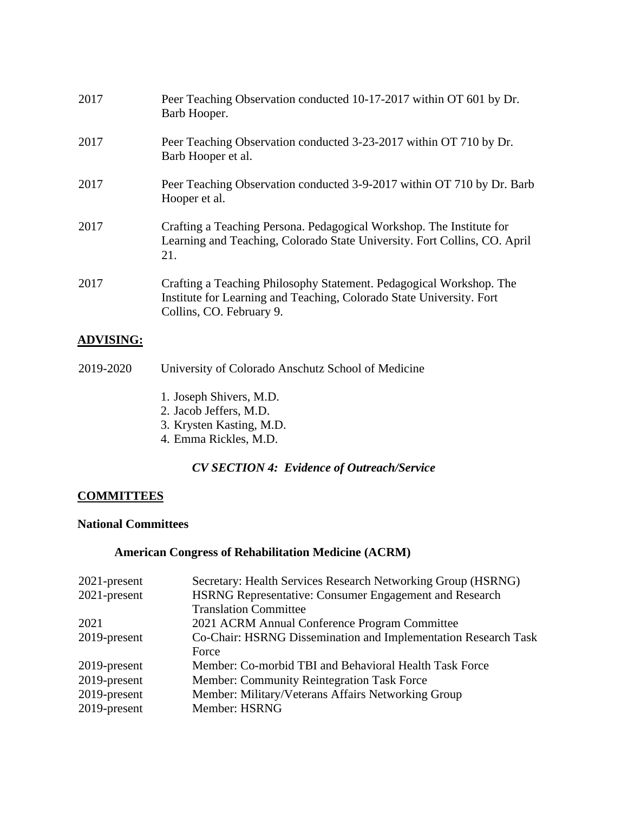| 2017             | Peer Teaching Observation conducted 10-17-2017 within OT 601 by Dr.<br>Barb Hooper.                                                                                     |
|------------------|-------------------------------------------------------------------------------------------------------------------------------------------------------------------------|
| 2017             | Peer Teaching Observation conducted 3-23-2017 within OT 710 by Dr.<br>Barb Hooper et al.                                                                                |
| 2017             | Peer Teaching Observation conducted 3-9-2017 within OT 710 by Dr. Barb<br>Hooper et al.                                                                                 |
| 2017             | Crafting a Teaching Persona. Pedagogical Workshop. The Institute for<br>Learning and Teaching, Colorado State University. Fort Collins, CO. April<br>21.                |
| 2017             | Crafting a Teaching Philosophy Statement. Pedagogical Workshop. The<br>Institute for Learning and Teaching, Colorado State University. Fort<br>Collins, CO. February 9. |
| <b>ADVISING:</b> |                                                                                                                                                                         |

## 2019-2020 University of Colorado Anschutz School of Medicine

- 1. Joseph Shivers, M.D.
- 2. Jacob Jeffers, M.D.
- 3. Krysten Kasting, M.D.
- 4. Emma Rickles, M.D.

## *CV SECTION 4: Evidence of Outreach/Service*

## **COMMITTEES**

#### **National Committees**

## **American Congress of Rehabilitation Medicine (ACRM)**

| $2021$ -present | Secretary: Health Services Research Networking Group (HSRNG)   |
|-----------------|----------------------------------------------------------------|
| 2021-present    | <b>HSRNG Representative: Consumer Engagement and Research</b>  |
|                 | <b>Translation Committee</b>                                   |
| 2021            | 2021 ACRM Annual Conference Program Committee                  |
| 2019-present    | Co-Chair: HSRNG Dissemination and Implementation Research Task |
|                 | Force                                                          |
| 2019-present    | Member: Co-morbid TBI and Behavioral Health Task Force         |
| 2019-present    | <b>Member: Community Reintegration Task Force</b>              |
| 2019-present    | Member: Military/Veterans Affairs Networking Group             |
| 2019-present    | Member: HSRNG                                                  |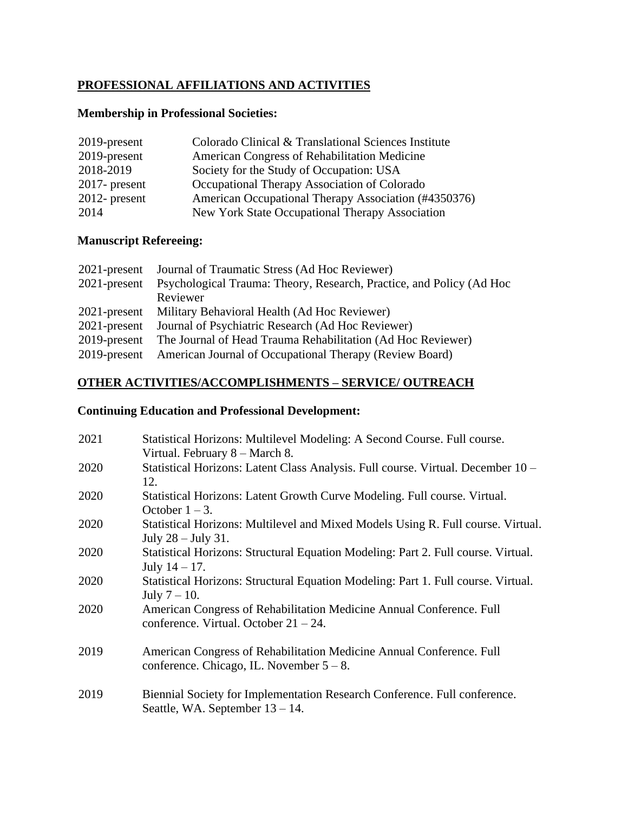## **PROFESSIONAL AFFILIATIONS AND ACTIVITIES**

#### **Membership in Professional Societies:**

| 2019-present     | Colorado Clinical & Translational Sciences Institute |
|------------------|------------------------------------------------------|
| 2019-present     | American Congress of Rehabilitation Medicine         |
| 2018-2019        | Society for the Study of Occupation: USA             |
| $2017$ - present | Occupational Therapy Association of Colorado         |
| $2012$ - present | American Occupational Therapy Association (#4350376) |
| 2014             | New York State Occupational Therapy Association      |

# **Manuscript Refereeing:**

| $2021$ -present | Journal of Traumatic Stress (Ad Hoc Reviewer)                        |
|-----------------|----------------------------------------------------------------------|
| $2021$ -present | Psychological Trauma: Theory, Research, Practice, and Policy (Ad Hoc |
|                 | Reviewer                                                             |
| $2021$ -present | Military Behavioral Health (Ad Hoc Reviewer)                         |
| $2021$ -present | Journal of Psychiatric Research (Ad Hoc Reviewer)                    |
| $2019$ -present | The Journal of Head Trauma Rehabilitation (Ad Hoc Reviewer)          |
| 2019-present    | American Journal of Occupational Therapy (Review Board)              |

# **OTHER ACTIVITIES/ACCOMPLISHMENTS – SERVICE/ OUTREACH**

## **Continuing Education and Professional Development:**

| 2021 | Statistical Horizons: Multilevel Modeling: A Second Course. Full course.<br>Virtual. February 8 – March 8.          |
|------|---------------------------------------------------------------------------------------------------------------------|
| 2020 | Statistical Horizons: Latent Class Analysis. Full course. Virtual. December 10 –<br>12.                             |
| 2020 | Statistical Horizons: Latent Growth Curve Modeling. Full course. Virtual.<br>October $1 - 3$ .                      |
| 2020 | Statistical Horizons: Multilevel and Mixed Models Using R. Full course. Virtual.<br>July $28 -$ July 31.            |
| 2020 | Statistical Horizons: Structural Equation Modeling: Part 2. Full course. Virtual.<br>July $14 - 17$ .               |
| 2020 | Statistical Horizons: Structural Equation Modeling: Part 1. Full course. Virtual.<br>July $7 - 10$ .                |
| 2020 | American Congress of Rehabilitation Medicine Annual Conference. Full<br>conference. Virtual. October $21 - 24$ .    |
| 2019 | American Congress of Rehabilitation Medicine Annual Conference. Full<br>conference. Chicago, IL. November $5 - 8$ . |
| 2019 | Biennial Society for Implementation Research Conference. Full conference.<br>Seattle, WA. September $13 - 14$ .     |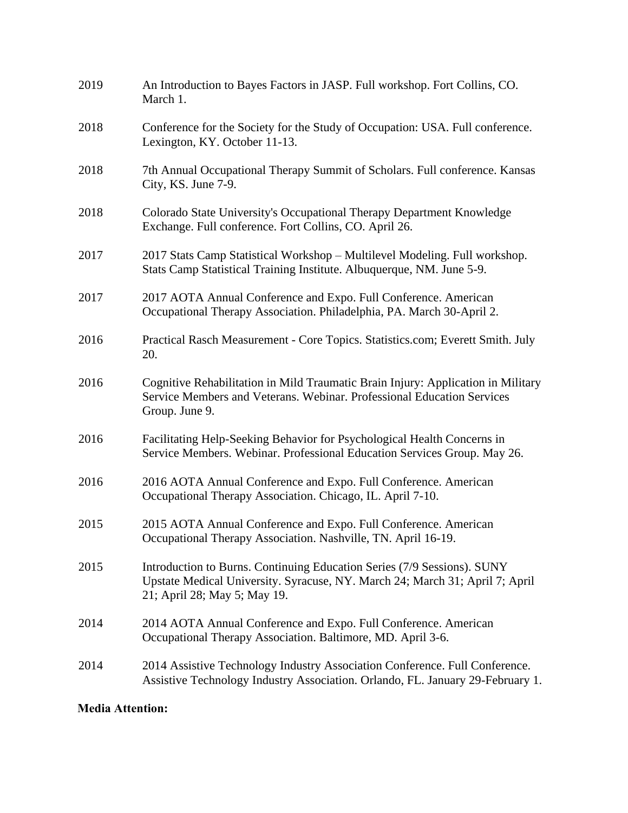| 2019 | An Introduction to Bayes Factors in JASP. Full workshop. Fort Collins, CO.<br>March 1.                                                                                                  |
|------|-----------------------------------------------------------------------------------------------------------------------------------------------------------------------------------------|
| 2018 | Conference for the Society for the Study of Occupation: USA. Full conference.<br>Lexington, KY. October 11-13.                                                                          |
| 2018 | 7th Annual Occupational Therapy Summit of Scholars. Full conference. Kansas<br>City, KS. June 7-9.                                                                                      |
| 2018 | Colorado State University's Occupational Therapy Department Knowledge<br>Exchange. Full conference. Fort Collins, CO. April 26.                                                         |
| 2017 | 2017 Stats Camp Statistical Workshop - Multilevel Modeling. Full workshop.<br>Stats Camp Statistical Training Institute. Albuquerque, NM. June 5-9.                                     |
| 2017 | 2017 AOTA Annual Conference and Expo. Full Conference. American<br>Occupational Therapy Association. Philadelphia, PA. March 30-April 2.                                                |
| 2016 | Practical Rasch Measurement - Core Topics. Statistics.com; Everett Smith. July<br>20.                                                                                                   |
| 2016 | Cognitive Rehabilitation in Mild Traumatic Brain Injury: Application in Military<br>Service Members and Veterans. Webinar. Professional Education Services<br>Group. June 9.            |
| 2016 | Facilitating Help-Seeking Behavior for Psychological Health Concerns in<br>Service Members. Webinar. Professional Education Services Group. May 26.                                     |
| 2016 | 2016 AOTA Annual Conference and Expo. Full Conference. American<br>Occupational Therapy Association. Chicago, IL. April 7-10.                                                           |
| 2015 | 2015 AOTA Annual Conference and Expo. Full Conference. American<br>Occupational Therapy Association. Nashville, TN. April 16-19.                                                        |
| 2015 | Introduction to Burns. Continuing Education Series (7/9 Sessions). SUNY<br>Upstate Medical University. Syracuse, NY. March 24; March 31; April 7; April<br>21; April 28; May 5; May 19. |
| 2014 | 2014 AOTA Annual Conference and Expo. Full Conference. American<br>Occupational Therapy Association. Baltimore, MD. April 3-6.                                                          |
| 2014 | 2014 Assistive Technology Industry Association Conference. Full Conference.<br>Assistive Technology Industry Association. Orlando, FL. January 29-February 1.                           |
|      |                                                                                                                                                                                         |

# **Media Attention:**